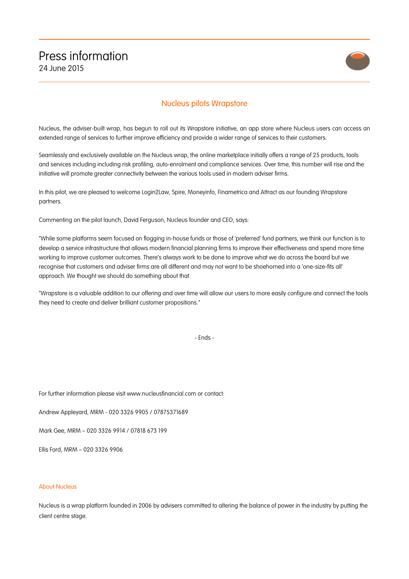## Press information 24 June 2015



## Nucleus pilots Wrapstore

Nucleus, the adviser-built wrap, has begun to roll out its Wrapstore initiative, an app store where Nucleus users can access an extended range of services to further improve efficiency and provide a wider range of services to their customers.

Seamlessly and exclusively available on the Nucleus wrap, the online marketplace initially offers a range of 25 products, tools and services including including risk profiling, auto-enrolment and compliance services. Over time, this number will rise and the initiative will promote greater connectivity between the various tools used in modern adviser firms.

In this pilot, we are pleased to welcome Login2Law, Spire, Moneyinfo, Finametrica and Attract as our founding Wrapstore partners.

Commenting on the pilot launch, David Ferguson, Nucleus founder and CEO, says:

"While some platforms seem focused on flogging in-house funds or those of 'preferred' fund partners, we think our function is to develop a service infrastructure that allows modern financial planning firms to improve their effectiveness and spend more time working to improve customer outcomes. There's always work to be done to improve what we do across the board but we recognise that customers and adviser firms are all different and may not want to be shoehorned into a 'one-size-fits all' approach. We thought we should do something about that.

"Wrapstore is a valuable addition to our offering and over time will allow our users to more easily configure and connect the tools they need to create and deliver brilliant customer propositions."

- Ends -

For further information please visit www.nucleusfinancial.com or contact:

Andrew Appleyard, MRM - 020 3326 9905 / 07875371689

Mark Gee, MRM – 020 3326 9914 / 07818 673 199

Ellis Ford, MRM – 020 3326 9906

## About Nucleus

Nucleus is a wrap platform founded in 2006 by advisers committed to altering the balance of power in the industry by putting the client centre stage.